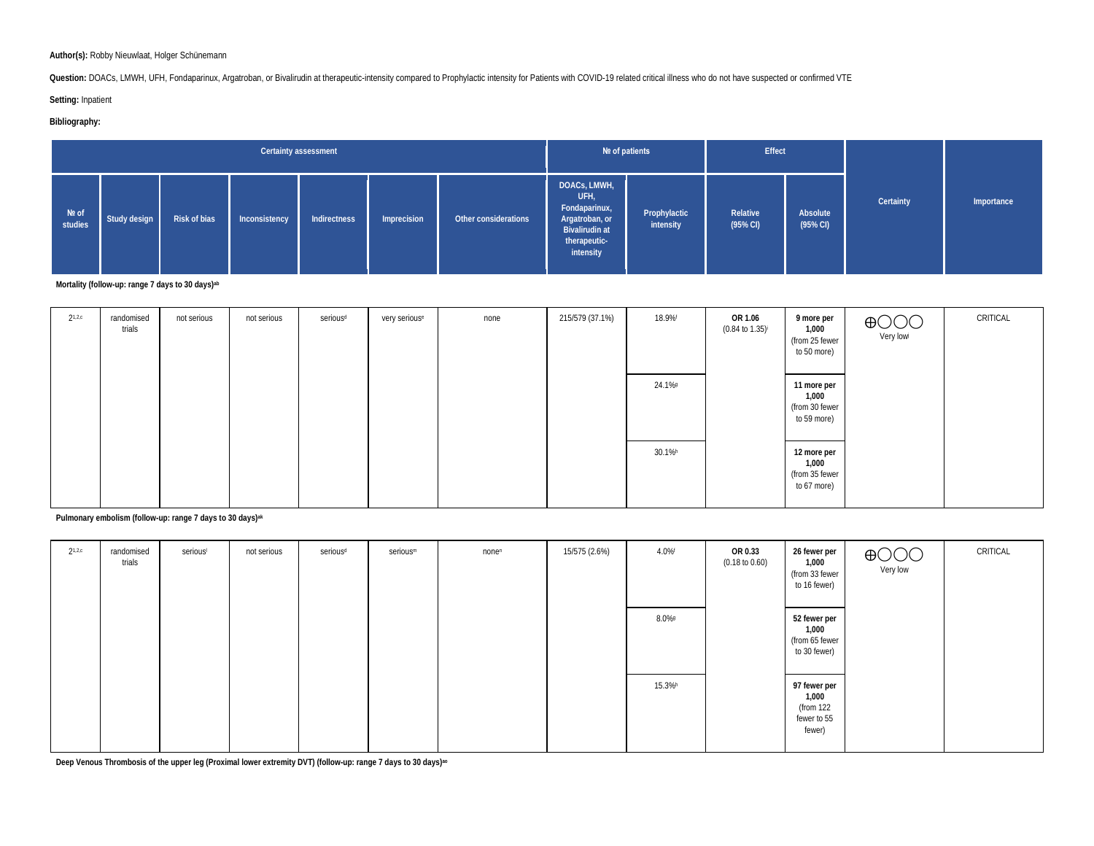#### **Author(s):** Robby Nieuwlaat, Holger Schünemann

Question: DOACs, LMWH, UFH, Fondaparinux, Argatroban, or Bivalirudin at therapeutic-intensity compared to Prophylactic intensity for Patients with COVID-19 related critical illness who do not have suspected or confirmed VT

**Setting:** Inpatient

#### **Bibliography:**

|                  |              |              |               | Certainty assessment |             |                      |                                                                                                               | Nº of patients            | Effect                          |                                 |           |            |
|------------------|--------------|--------------|---------------|----------------------|-------------|----------------------|---------------------------------------------------------------------------------------------------------------|---------------------------|---------------------------------|---------------------------------|-----------|------------|
| Nº of<br>studies | Study design | Risk of bias | Inconsistency | Indirectness         | Imprecision | Other considerations | DOACs, LMWH,<br>UFH,<br>Fondaparinux,<br>Argatroban, or<br><b>Bivalirudin at</b><br>therapeutic-<br>intensity | Prophylactic<br>intensity | Relative<br>$(95\% \text{ Cl})$ | Absolute<br>$(95\% \text{ Cl})$ | Certainty | Importance |

**Mortality (follow-up: range 7 days to 30 days)ab**

| $2^{1,2,c}$ | randomised<br>trials | not serious | not serious | serious <sup>d</sup> | very serious <sup>e</sup> | none | 215/579 (37.1%) | 18.9%f | OR 1.06<br>$(0.84 \text{ to } 1.35)^{\text{i}}$ | 9 more per<br>1,000<br>(from 25 fewer<br>to 50 more)  | $\bigoplus_{\mathsf{Very}\, \mathsf{low}}\hspace{-0.5mm}\bigcirc\hspace{-0.5mm}\bigcirc\hspace{-0.5mm}$ | CRITICAL |
|-------------|----------------------|-------------|-------------|----------------------|---------------------------|------|-----------------|--------|-------------------------------------------------|-------------------------------------------------------|---------------------------------------------------------------------------------------------------------|----------|
|             |                      |             |             |                      |                           |      |                 | 24.1%9 |                                                 | 11 more per<br>1,000<br>(from 30 fewer<br>to 59 more) |                                                                                                         |          |
|             |                      |             |             |                      |                           |      |                 | 30.1%h |                                                 | 12 more per<br>1,000<br>(from 35 fewer<br>to 67 more) |                                                                                                         |          |

**Pulmonary embolism (follow-up: range 7 days to 30 days)ak**

| $2^{1,2,c}$ | randomised<br>trials | serious | not serious | serious <sup>d</sup> | serious <sup>m</sup> | nonen | 15/575 (2.6%) | $4.0\%$ f | OR 0.33<br>$(0.18 \text{ to } 0.60)$ | 26 fewer per<br>1,000<br>(from 33 fewer<br>to 16 fewer)     | $\bigoplus_{\mathsf{Very}\, \mathsf{low}}\hspace{-0.5mm}\bigcirc$ | CRITICAL |
|-------------|----------------------|---------|-------------|----------------------|----------------------|-------|---------------|-----------|--------------------------------------|-------------------------------------------------------------|-------------------------------------------------------------------|----------|
|             |                      |         |             |                      |                      |       |               | $8.0\%$   |                                      | 52 fewer per<br>1,000<br>(from 65 fewer<br>to 30 fewer)     |                                                                   |          |
|             |                      |         |             |                      |                      |       |               | 15.3%h    |                                      | 97 fewer per<br>1,000<br>(from 122<br>fewer to 55<br>fewer) |                                                                   |          |

**Deep Venous Thrombosis of the upper leg (Proximal lower extremity DVT) (follow-up: range 7 days to 30 days)ao**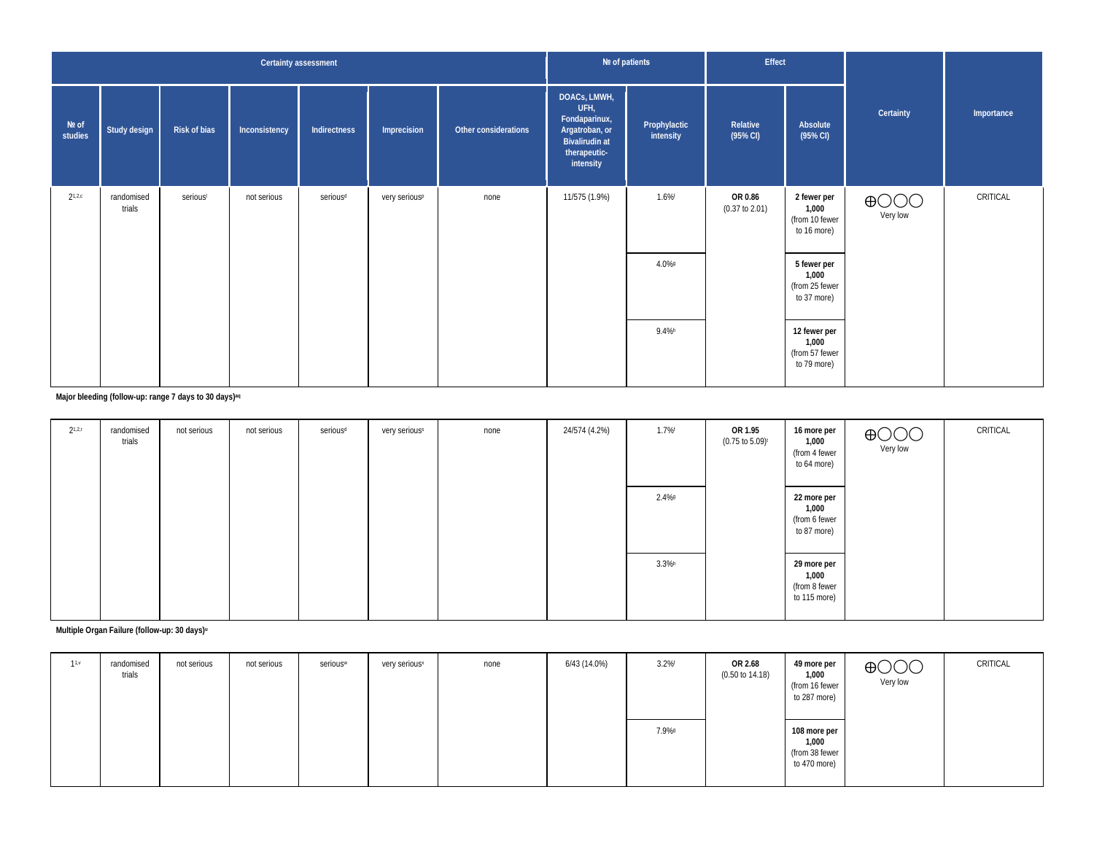|                  |                      |                     | Certainty assessment |                      |                           |                      | Nº of patients                                                                                                |                           | Effect                               |                                                        |                             |            |
|------------------|----------------------|---------------------|----------------------|----------------------|---------------------------|----------------------|---------------------------------------------------------------------------------------------------------------|---------------------------|--------------------------------------|--------------------------------------------------------|-----------------------------|------------|
| Nº of<br>studies | Study design         | <b>Risk of bias</b> | Inconsistency        | Indirectness         | Imprecision               | Other considerations | DOACS, LMWH,<br>UFH,<br>Fondaparinux,<br>Argatroban, or<br><b>Bivalirudin at</b><br>therapeutic-<br>intensity | Prophylactic<br>intensity | Relative<br>$(95\%$ CI)              | Absolute<br>$(95\% \text{ Cl})$                        | Certainty                   | Importance |
| $2^{1,2,c}$      | randomised<br>trials | serious             | not serious          | serious <sup>d</sup> | very serious <sup>p</sup> | none                 | 11/575 (1.9%)                                                                                                 | $1.6\%$ <sup>f</sup>      | OR 0.86<br>$(0.37 \text{ to } 2.01)$ | 2 fewer per<br>1,000<br>(from 10 fewer<br>to 16 more)  | $\bigoplus$ OOO<br>Very low | CRITICAL   |
|                  |                      |                     |                      |                      |                           |                      |                                                                                                               | 4.0%9                     |                                      | 5 fewer per<br>1,000<br>(from 25 fewer<br>to 37 more)  |                             |            |
|                  |                      |                     |                      |                      |                           |                      |                                                                                                               | 9.4%h                     |                                      | 12 fewer per<br>1,000<br>(from 57 fewer<br>to 79 more) |                             |            |

### **Major bleeding (follow-up: range 7 days to 30 days)aq**

| $2^{1,2,r}$ | randomised<br>trials | not serious | not serious | serious <sup>d</sup> | very seriouss | none | 24/574 (4.2%) | 1.7%f     | OR 1.95<br>$(0.75 \text{ to } 5.09)^t$ | 16 more per<br>1,000<br>(from 4 fewer<br>to 64 more)  | $\bigoplus_{\mathsf{Very}\, \mathsf{low}}\hspace{-0.5mm}\bigcirc$ | CRITICAL |
|-------------|----------------------|-------------|-------------|----------------------|---------------|------|---------------|-----------|----------------------------------------|-------------------------------------------------------|-------------------------------------------------------------------|----------|
|             |                      |             |             |                      |               |      |               | 2.4%      |                                        | 22 more per<br>1,000<br>(from 6 fewer<br>to 87 more)  |                                                                   |          |
|             |                      |             |             |                      |               |      |               | $3.3\%$ h |                                        | 29 more per<br>1,000<br>(from 8 fewer<br>to 115 more) |                                                                   |          |

## **Multiple Organ Failure (follow-up: 30 days)u**

| 11.9 | randomised<br>trials | not serious | not serious | serious | very serious <sup>x</sup> | none | 6/43 (14.0%) | 3.2%  | OR 2.68<br>$(0.50 \text{ to } 14.18)$ | 49 more per<br>1,000<br>(from 16 fewer<br>to 287 more)  | $\bigoplus$ OOO<br>Very low | CRITICAL |
|------|----------------------|-------------|-------------|---------|---------------------------|------|--------------|-------|---------------------------------------|---------------------------------------------------------|-----------------------------|----------|
|      |                      |             |             |         |                           |      |              | 7.9%9 |                                       | 108 more per<br>1,000<br>(from 38 fewer<br>to 470 more) |                             |          |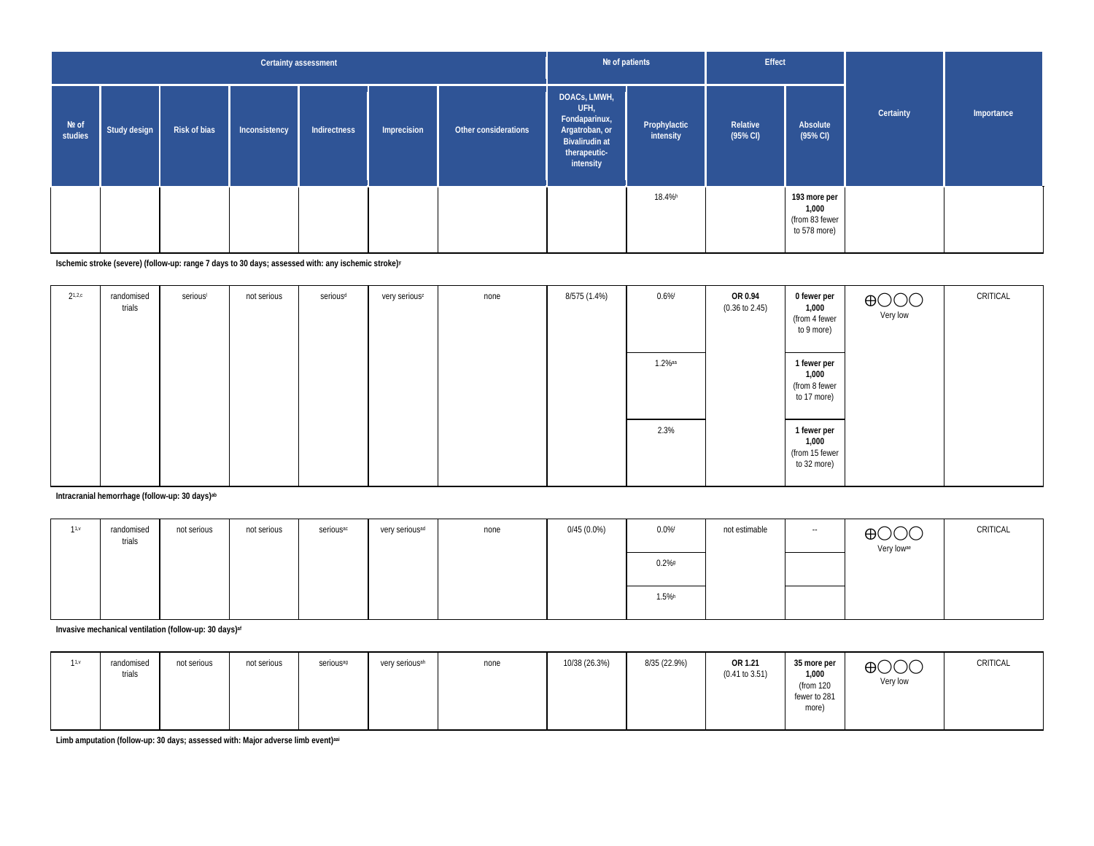|                    |              |              |               | Certainty assessment |             |                      |                                                                                                               | Nº of patients            | Effect                          |                                                         |           |            |
|--------------------|--------------|--------------|---------------|----------------------|-------------|----------------------|---------------------------------------------------------------------------------------------------------------|---------------------------|---------------------------------|---------------------------------------------------------|-----------|------------|
| $Ne$ of<br>studies | Study design | Risk of bias | Inconsistency | Indirectness         | Imprecision | Other considerations | DOACs, LMWH,<br>UFH,<br>Fondaparinux,<br>Argatroban, or<br><b>Bivalirudin at</b><br>therapeutic-<br>intensity | Prophylactic<br>intensity | Relative<br>$(95\% \text{ Cl})$ | Absolute<br>(95% CI)                                    | Certainty | Importance |
|                    |              |              |               |                      |             |                      |                                                                                                               | 18.4% <sup>h</sup>        |                                 | 193 more per<br>1,000<br>(from 83 fewer<br>to 578 more) |           |            |

**Ischemic stroke (severe) (follow-up: range 7 days to 30 days; assessed with: any ischemic stroke)y**

| $2^{1,2,c}$ | randomised<br>trials | serious | not serious | serious <sup>d</sup> | very serious <sup>z</sup> | none | 8/575 (1.4%) | $0.6%$ <sup>f</sup> | OR 0.94<br>$(0.36 \text{ to } 2.45)$ | 0 fewer per<br>1,000<br>(from 4 fewer<br>to 9 more)   | $\bigoplus_{\mathsf{Very}\, \mathsf{low}}\hspace{-0.5mm}\bigcirc$ | CRITICAL |
|-------------|----------------------|---------|-------------|----------------------|---------------------------|------|--------------|---------------------|--------------------------------------|-------------------------------------------------------|-------------------------------------------------------------------|----------|
|             |                      |         |             |                      |                           |      |              | $1.2\%$ aa          |                                      | 1 fewer per<br>1,000<br>(from 8 fewer<br>to 17 more)  |                                                                   |          |
|             |                      |         |             |                      |                           |      |              | 2.3%                |                                      | 1 fewer per<br>1,000<br>(from 15 fewer<br>to 32 more) |                                                                   |          |

**Intracranial hemorrhage (follow-up: 30 days)ab**

| 11.9 | randomised<br>trials | not serious | not serious | serious <sup>ac</sup> | very serious <sup>ad</sup> | none | $0/45(0.0\%)$ | $0.0\%$ | not estimable | $-$ | $\bigoplus$ OOO<br>Very low <sup>ae</sup> | CRITICAL |
|------|----------------------|-------------|-------------|-----------------------|----------------------------|------|---------------|---------|---------------|-----|-------------------------------------------|----------|
|      |                      |             |             |                       |                            |      |               | $0.2\%$ |               |     |                                           |          |
|      |                      |             |             |                       |                            |      |               | 1.5%    |               |     |                                           |          |

**Invasive mechanical ventilation (follow-up: 30 days)af**

| 11.9 | randomised<br>trials | not serious<br>not serious | serious <sup>ag</sup> | very serious <sup>ah</sup> | none | 10/38 (26.3%) | 8/35 (22.9%) | OR 1.21<br>(0.41 to 3.51) | 35 more per<br>1,000<br>(from 120<br>fewer to 281<br>more) | $\bigoplus$ OOO<br>Very low | CRITICAL |
|------|----------------------|----------------------------|-----------------------|----------------------------|------|---------------|--------------|---------------------------|------------------------------------------------------------|-----------------------------|----------|
|------|----------------------|----------------------------|-----------------------|----------------------------|------|---------------|--------------|---------------------------|------------------------------------------------------------|-----------------------------|----------|

**Limb amputation (follow-up: 30 days; assessed with: Major adverse limb event)aai**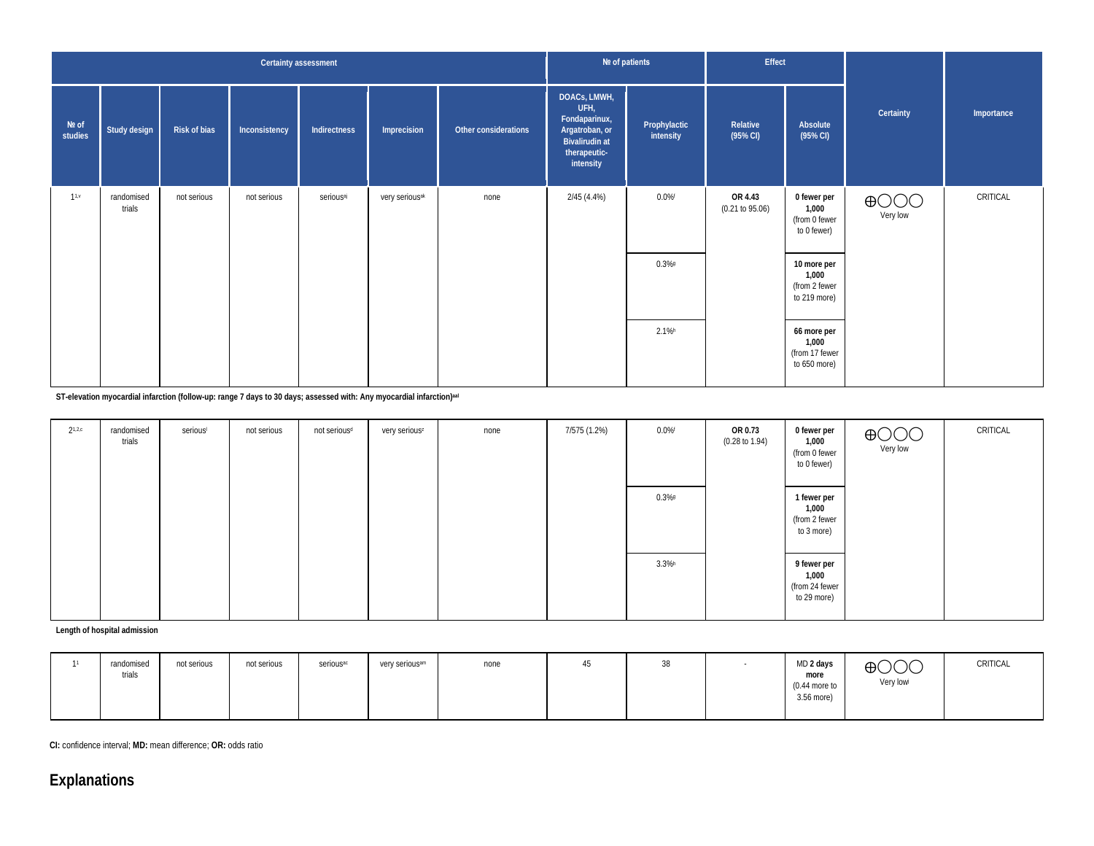|                  |                      |              |               | Certainty assessment  |                            |                      | Nº of patients                                                                                                |                           | Effect                          |                                                        |                             |            |
|------------------|----------------------|--------------|---------------|-----------------------|----------------------------|----------------------|---------------------------------------------------------------------------------------------------------------|---------------------------|---------------------------------|--------------------------------------------------------|-----------------------------|------------|
| Nº of<br>studies | Study design         | Risk of bias | Inconsistency | Indirectness          | Imprecision                | Other considerations | DOACS, LMWH,<br>UFH,<br>Fondaparinux,<br>Argatroban, or<br><b>Bivalirudin at</b><br>therapeutic-<br>intensity | Prophylactic<br>intensity | Relative<br>$(95\% \text{ Cl})$ | Absolute<br>(95% CI)                                   | Certainty                   | Importance |
| 11.4             | randomised<br>trials | not serious  | not serious   | serious <sup>aj</sup> | very serious <sup>ak</sup> | none                 | 2/45(4.4%)                                                                                                    | $0.0\%$ f                 | OR 4.43<br>(0.21 to 95.06)      | 0 fewer per<br>1,000<br>(from 0 fewer<br>to 0 fewer)   | $\bigoplus$ OOO<br>Very low | CRITICAL   |
|                  |                      |              |               |                       |                            |                      |                                                                                                               | $0.3\%$                   |                                 | 10 more per<br>1,000<br>(from 2 fewer<br>to 219 more)  |                             |            |
|                  |                      |              |               |                       |                            |                      |                                                                                                               | $2.1\%$ h                 |                                 | 66 more per<br>1,000<br>(from 17 fewer<br>to 650 more) |                             |            |

**ST-elevation myocardial infarction (follow-up: range 7 days to 30 days; assessed with: Any myocardial infarction)aal**

| $2^{1,2,c}$ | randomised<br>trials | serious | not serious | not serious <sup>d</sup> | very serious <sup>z</sup> | none | 7/575 (1.2%) | $0.0\%$ f | OR 0.73<br>$(0.28 \text{ to } 1.94)$ | 0 fewer per<br>1,000<br>(from 0 fewer<br>to 0 fewer)  | $\bigoplus$ OOO<br>Very low | CRITICAL |
|-------------|----------------------|---------|-------------|--------------------------|---------------------------|------|--------------|-----------|--------------------------------------|-------------------------------------------------------|-----------------------------|----------|
|             |                      |         |             |                          |                           |      |              | $0.3\%$   |                                      | 1 fewer per<br>1,000<br>(from 2 fewer<br>to 3 more)   |                             |          |
|             |                      |         |             |                          |                           |      |              | $3.3\%$ h |                                      | 9 fewer per<br>1,000<br>(from 24 fewer<br>to 29 more) |                             |          |

**Length of hospital admission**

|  | randomised<br>trials | not serious | not serious | serious <sup>ac</sup> | very serious <sup>am</sup> | none | 45 | 38 |  | MD 2 days<br>more<br>$(0.44$ more to<br>3.56 more) | $\bigoplus$ OOO<br>Very low | CRITICAL |
|--|----------------------|-------------|-------------|-----------------------|----------------------------|------|----|----|--|----------------------------------------------------|-----------------------------|----------|
|--|----------------------|-------------|-------------|-----------------------|----------------------------|------|----|----|--|----------------------------------------------------|-----------------------------|----------|

**CI:** confidence interval; **MD:** mean difference; **OR:** odds ratio

# **Explanations**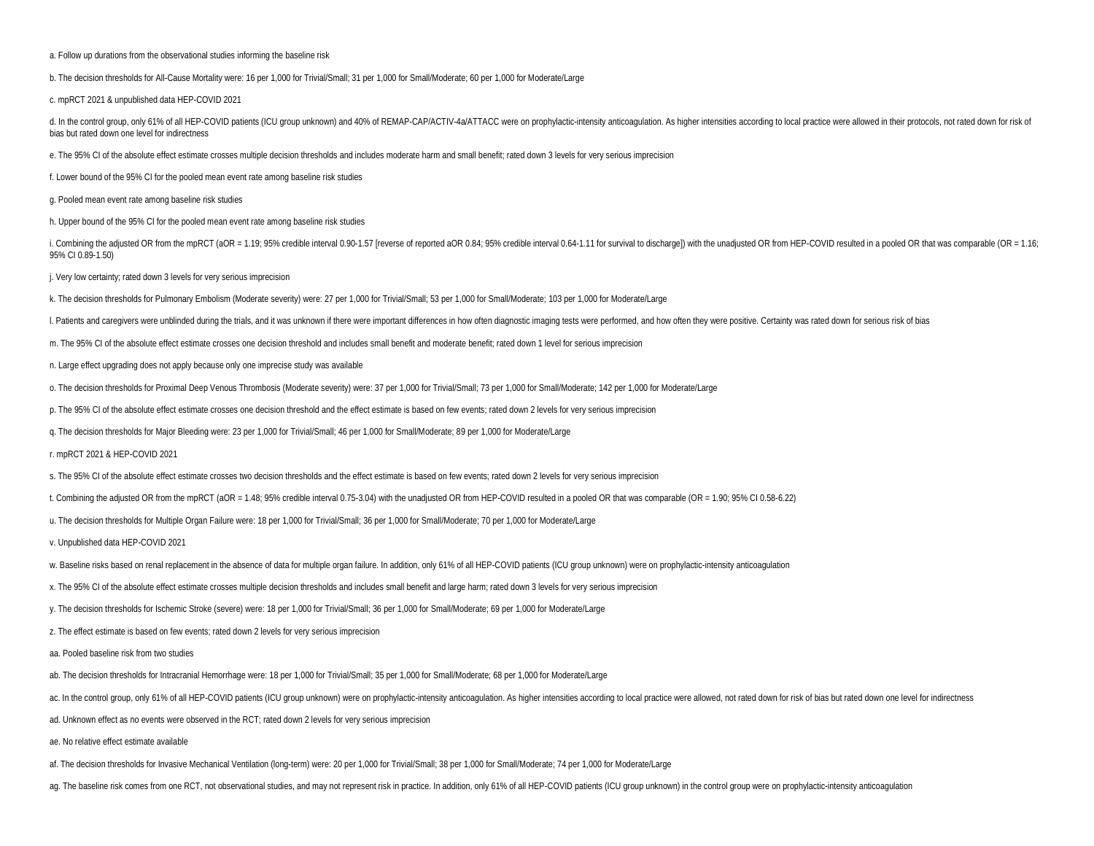a. Follow up durations from the observational studies informing the baseline risk

b. The decision thresholds for All-Cause Mortality were: 16 per 1,000 for Trivial/Small; 31 per 1,000 for Small/Moderate; 60 per 1,000 for Moderate/Large

c. mpRCT 2021 & unpublished data HEP-COVID 2021

d. In the control group, only 61% of all HEP-COVID patients (ICU group unknown) and 40% of REMAP-CAP/ACTIV-4a/ATTACC were on prophylactic-intensity anticoagulation. As higher intensities according to local practice were al bias but rated down one level for indirectness

e. The 95% CI of the absolute effect estimate crosses multiple decision thresholds and includes moderate harm and small benefit; rated down 3 levels for very serious imprecision

f. Lower bound of the 95% CI for the pooled mean event rate among baseline risk studies

g. Pooled mean event rate among baseline risk studies

h. Upper bound of the 95% CI for the pooled mean event rate among baseline risk studies

i. Combining the adjusted OR from the mpRCT (aOR = 1.19; 95% credible interval 0.90-1.57 [reverse of reported aOR 0.84; 95% credible interval 0.64-1.11 for survival to discharge]) with the unadjusted OR from HEP-COVID resu 95% CI 0.89-1.50)

j. Very low certainty; rated down 3 levels for very serious imprecision

k. The decision thresholds for Pulmonary Embolism (Moderate severity) were: 27 per 1,000 for Trivial/Small; 53 per 1,000 for Small/Moderate; 103 per 1,000 for Moderate/Large

I. Patients and caregivers were unblinded during the trials, and it was unknown if there were important differences in how often diagnostic imaging tests were performed, and how often they were positive. Certainty was rate

m. The 95% CI of the absolute effect estimate crosses one decision threshold and includes small benefit and moderate benefit; rated down 1 level for serious imprecision

n. Large effect upgrading does not apply because only one imprecise study was available

o. The decision thresholds for Proximal Deep Venous Thrombosis (Moderate severity) were: 37 per 1,000 for Trivial/Small; 73 per 1,000 for Small/Moderate; 142 per 1,000 for Moderate/Large

p. The 95% CI of the absolute effect estimate crosses one decision threshold and the effect estimate is based on few events; rated down 2 levels for very serious imprecision

q. The decision thresholds for Major Bleeding were: 23 per 1,000 for Trivial/Small; 46 per 1,000 for Small/Moderate; 89 per 1,000 for Moderate/Large

r. mpRCT 2021 & HEP-COVID 2021

s. The 95% CI of the absolute effect estimate crosses two decision thresholds and the effect estimate is based on few events; rated down 2 levels for very serious imprecision

t. Combining the adjusted OR from the mpRCT (aOR = 1.48; 95% credible interval 0.75-3.04) with the unadjusted OR from HEP-COVID resulted in a pooled OR that was comparable (OR = 1.90; 95% CI 0.58-6.22)

u. The decision thresholds for Multiple Organ Failure were: 18 per 1,000 for Trivial/Small; 36 per 1,000 for Small/Moderate; 70 per 1,000 for Moderate/Large

v. Unpublished data HEP-COVID 2021

w. Baseline risks based on renal replacement in the absence of data for multiple organ failure. In addition, only 61% of all HEP-COVID patients (ICU group unknown) were on prophylactic-intensity anticoagulation

x. The 95% CI of the absolute effect estimate crosses multiple decision thresholds and includes small benefit and large harm; rated down 3 levels for very serious imprecision

y. The decision thresholds for Ischemic Stroke (severe) were: 18 per 1,000 for Trivial/Small; 36 per 1,000 for Small/Moderate; 69 per 1,000 for Moderate/Large

z. The effect estimate is based on few events; rated down 2 levels for very serious imprecision

aa. Pooled baseline risk from two studies

ab. The decision thresholds for Intracranial Hemorrhage were: 18 per 1,000 for Trivial/Small; 35 per 1,000 for Small/Moderate; 68 per 1,000 for Moderate/Large

ac. In the control group, only 61% of all HEP-COVID patients (ICU group unknown) were on prophylactic-intensity anticoagulation. As higher intensities according to local practice were allowed, not rated down for risk of bi

ad. Unknown effect as no events were observed in the RCT; rated down 2 levels for very serious imprecision

ae. No relative effect estimate available

af. The decision thresholds for Invasive Mechanical Ventilation (long-term) were: 20 per 1,000 for Trivial/Small; 38 per 1,000 for Small/Moderate; 74 per 1,000 for Moderate/Large

ag. The baseline risk comes from one RCT, not observational studies, and may not represent risk in practice. In addition, only 61% of all HEP-COVID patients (ICU group unknown) in the control group were on prophylactic-int